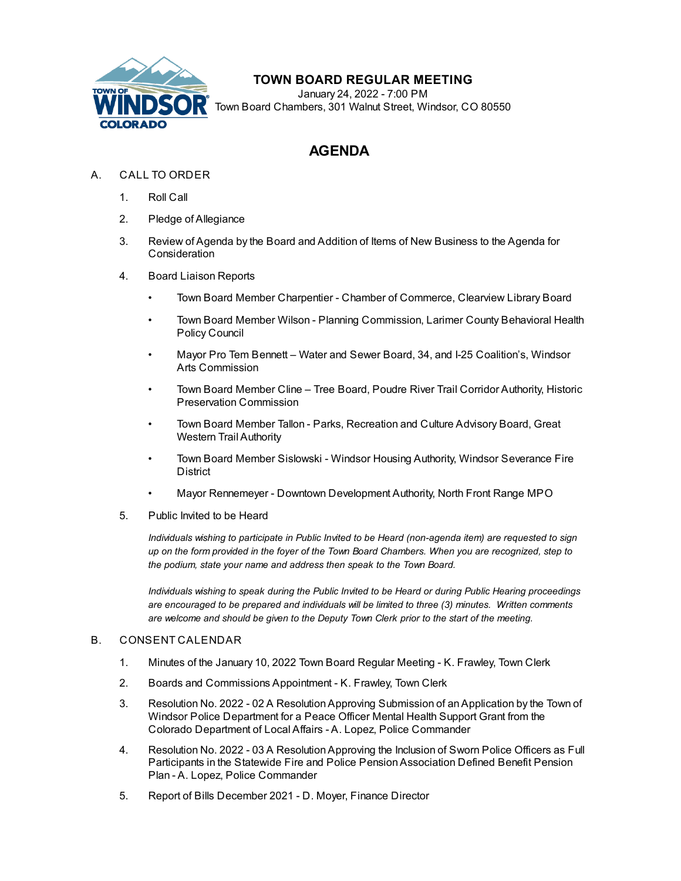

# **TOWN BOARD REGULAR MEETING**

January 24, 2022 - 7:00 PM Town Board Chambers, 301 Walnut Street, Windsor, CO 80550

# **AGENDA**

## A. CALL TO ORDER

- 1. Roll Call
- 2. Pledge of Allegiance
- 3. Review of Agenda by the Board and Addition of Items of New Business to the Agenda for **Consideration**
- 4. Board Liaison Reports
	- Town Board Member Charpentier Chamber of Commerce, Clearview Library Board
	- Town Board Member Wilson Planning Commission, Larimer County Behavioral Health Policy Council
	- Mayor Pro Tem Bennett Water and Sewer Board, 34, and I-25 Coalition's, Windsor Arts Commission
	- Town Board Member Cline Tree Board, Poudre River Trail Corridor Authority, Historic Preservation Commission
	- Town Board Member Tallon Parks, Recreation and Culture Advisory Board, Great Western Trail Authority
	- Town Board Member Sislowski Windsor Housing Authority, Windsor Severance Fire **District**
	- Mayor Rennemeyer Downtown Development Authority, North Front Range MPO
- 5. Public Invited to be Heard

*Individuals wishing to participate in Public Invited to be Heard (non-agenda item) are requested to sign* up on the form provided in the foyer of the Town Board Chambers. When you are recognized, step to *the podium, state your name and address then speak to the Town Board.*

*Individuals wishing to speak during the Public Invited to be Heard or during Public Hearing proceedings are encouraged to be prepared and individuals will be limited to three (3) minutes. Written comments are welcome and should be given to the Deputy Town Clerk prior to the start of the meeting.*

#### B. CONSENT CALENDAR

- 1. Minutes of the January 10, 2022 Town Board Regular Meeting K. [Frawley,](file:///C:/Windows/TEMP/CoverSheet.aspx?ItemID=1899&MeetingID=334) Town Clerk
- 2. Boards and [Commissions](file:///C:/Windows/TEMP/CoverSheet.aspx?ItemID=1904&MeetingID=334) Appointment K. Frawley, Town Clerk
- 3. Resolution No. 2022 02 A Resolution Approving Submission of an Application by the Town of Windsor Police Department for a Peace Officer Mental Health Support Grant from the Colorado Department of Local Affairs - A. Lopez, Police Commander
- 4. Resolution No. 2022 03 A [ResolutionApproving](file:///C:/Windows/TEMP/CoverSheet.aspx?ItemID=1895&MeetingID=334) the Inclusion of Sworn Police Officers as Full Participants in the Statewide Fire and Police Pension Association Defined Benefit Pension Plan - A. Lopez, Police Commander
- 5. Report of Bills [December](file:///C:/Windows/TEMP/CoverSheet.aspx?ItemID=1900&MeetingID=334) 2021 D. Moyer, Finance Director